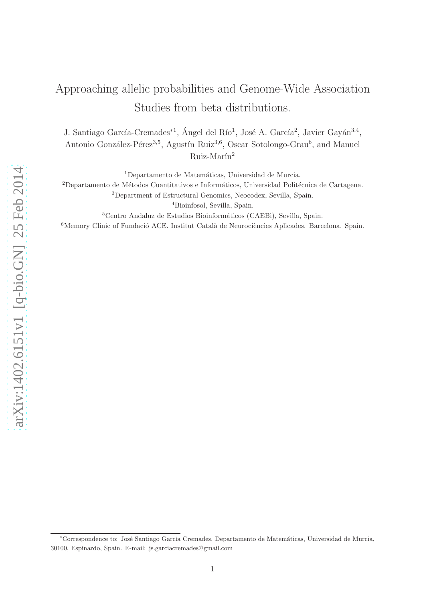# Approaching allelic probabilities and Genome-Wide Association Studies from beta distributions.

J. Santiago García-Cremades<sup>∗1</sup>, Ángel del Río<sup>1</sup>, José A. García<sup>2</sup>, Javier Gayán<sup>3,4</sup>, Antonio González-Pérez<sup>3,5</sup>, Agustín Ruiz<sup>3,6</sup>, Oscar Sotolongo-Grau<sup>6</sup>, and Manuel  $Ruiz-Marín<sup>2</sup>$ 

 $1$ Departamento de Matemáticas, Universidad de Murcia.

<sup>2</sup>Departamento de Métodos Cuantitativos e Informáticos, Universidad Politécnica de Cartagena.

<sup>3</sup>Department of Estructural Genomics, Neocodex, Sevilla, Spain.

<sup>4</sup>Bioinfosol, Sevilla, Spain.

 ${}^{5}$ Centro Andaluz de Estudios Bioinformáticos (CAEBi), Sevilla, Spain.

 $6$ Memory Clinic of Fundació ACE. Institut Català de Neurociències Aplicades. Barcelona. Spain.

<sup>∗</sup>Correspondence to: Jos´e Santiago Garc´ıa Cremades, Departamento de Matem´aticas, Universidad de Murcia, 30100, Espinardo, Spain. E-mail: js.garciacremades@gmail.com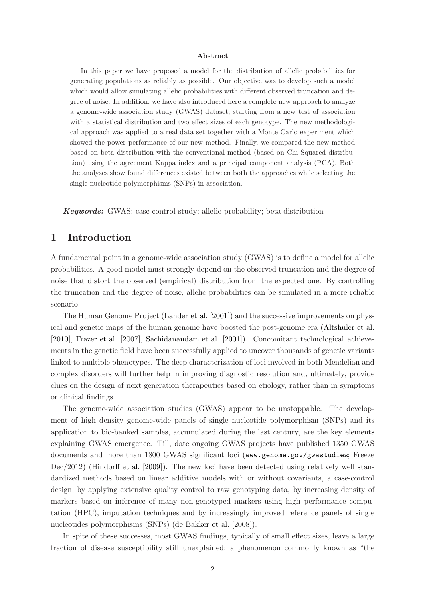#### Abstract

In this paper we have proposed a model for the distribution of allelic probabilities for generating populations as reliably as possible. Our objective was to develop such a model which would allow simulating allelic probabilities with different observed truncation and degree of noise. In addition, we have also introduced here a complete new approach to analyze a genome-wide association study (GWAS) dataset, starting from a new test of association with a statistical distribution and two effect sizes of each genotype. The new methodological approach was applied to a real data set together with a Monte Carlo experiment which showed the power performance of our new method. Finally, we compared the new method based on beta distribution with the conventional method (based on Chi-Squared distribution) using the agreement Kappa index and a principal component analysis (PCA). Both the analyses show found differences existed between both the approaches while selecting the single nucleotide polymorphisms (SNPs) in association.

Keywords: GWAS; case-control study; allelic probability; beta distribution

### 1 Introduction

A fundamental point in a genome-wide association study (GWAS) is to define a model for allelic probabilities. A good model must strongly depend on the observed truncation and the degree of noise that distort the observed (empirical) distribution from the expected one. By controlling the truncation and the degree of noise, allelic probabilities can be simulated in a more reliable scenario.

The Human Genome Project [\(Lander et al.](#page-23-0) [\[2001\]](#page-23-0)) and the successive improvements on physical and genetic maps of the human genome have boosted the post-genome era [\(Altshuler et al.](#page-22-0) [\[2010\]](#page-22-0), [Frazer et al.](#page-22-1) [\[2007](#page-22-1)], [Sachidanandam et al.](#page-23-1) [\[2001](#page-23-1)]). Concomitant technological achievements in the genetic field have been successfully applied to uncover thousands of genetic variants linked to multiple phenotypes. The deep characterization of loci involved in both Mendelian and complex disorders will further help in improving diagnostic resolution and, ultimately, provide clues on the design of next generation therapeutics based on etiology, rather than in symptoms or clinical findings.

The genome-wide association studies (GWAS) appear to be unstoppable. The development of high density genome-wide panels of single nucleotide polymorphism (SNPs) and its application to bio-banked samples, accumulated during the last century, are the key elements explaining GWAS emergence. Till, date ongoing GWAS projects have published 1350 GWAS documents and more than 1800 GWAS significant loci (<www.genome.gov/gwastudies>; Freeze Dec/2012) [\(Hindorff et al.](#page-23-2) [\[2009](#page-23-2)]). The new loci have been detected using relatively well standardized methods based on linear additive models with or without covariants, a case-control design, by applying extensive quality control to raw genotyping data, by increasing density of markers based on inference of many non-genotyped markers using high performance computation (HPC), imputation techniques and by increasingly improved reference panels of single nucleotides polymorphisms (SNPs) [\(de Bakker et al.](#page-22-2) [\[2008](#page-22-2)]).

In spite of these successes, most GWAS findings, typically of small effect sizes, leave a large fraction of disease susceptibility still unexplained; a phenomenon commonly known as "the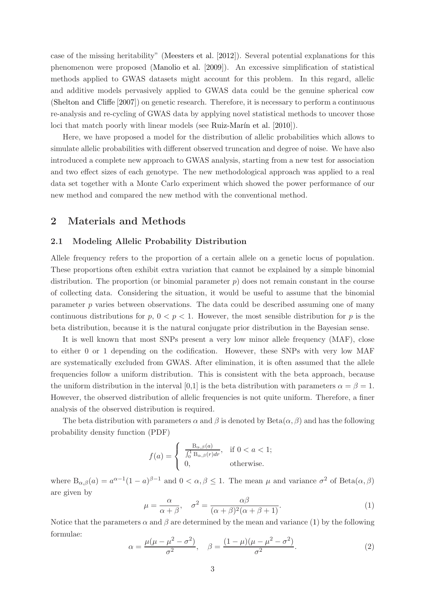case of the missing heritability" [\(Meesters et al.](#page-23-3) [\[2012\]](#page-23-3)). Several potential explanations for this phenomenon were proposed [\(Manolio et al.](#page-23-4) [\[2009](#page-23-4)]). An excessive simplification of statistical methods applied to GWAS datasets might account for this problem. In this regard, allelic and additive models pervasively applied to GWAS data could be the genuine spherical cow [\(Shelton and Cliffe](#page-23-5) [\[2007](#page-23-5)]) on genetic research. Therefore, it is necessary to perform a continuous re-analysis and re-cycling of GWAS data by applying novel statistical methods to uncover those loci that match poorly with linear models (see Ruiz-Marín et al. [\[2010](#page-23-6)]).

Here, we have proposed a model for the distribution of allelic probabilities which allows to simulate allelic probabilities with different observed truncation and degree of noise. We have also introduced a complete new approach to GWAS analysis, starting from a new test for association and two effect sizes of each genotype. The new methodological approach was applied to a real data set together with a Monte Carlo experiment which showed the power performance of our new method and compared the new method with the conventional method.

### 2 Materials and Methods

### 2.1 Modeling Allelic Probability Distribution

Allele frequency refers to the proportion of a certain allele on a genetic locus of population. These proportions often exhibit extra variation that cannot be explained by a simple binomial distribution. The proportion (or binomial parameter  $p$ ) does not remain constant in the course of collecting data. Considering the situation, it would be useful to assume that the binomial parameter  $p$  varies between observations. The data could be described assuming one of many continuous distributions for  $p, 0 < p < 1$ . However, the most sensible distribution for p is the beta distribution, because it is the natural conjugate prior distribution in the Bayesian sense.

It is well known that most SNPs present a very low minor allele frequency (MAF), close to either 0 or 1 depending on the codification. However, these SNPs with very low MAF are systematically excluded from GWAS. After elimination, it is often assumed that the allele frequencies follow a uniform distribution. This is consistent with the beta approach, because the uniform distribution in the interval [0,1] is the beta distribution with parameters  $\alpha = \beta = 1$ . However, the observed distribution of allelic frequencies is not quite uniform. Therefore, a finer analysis of the observed distribution is required.

The beta distribution with parameters  $\alpha$  and  $\beta$  is denoted by Beta $(\alpha, \beta)$  and has the following probability density function (PDF)

$$
f(a) = \begin{cases} \frac{\mathcal{B}_{\alpha,\beta}(a)}{\int_0^1 \mathcal{B}_{\alpha,\beta}(r) dr}, & \text{if } 0 < a < 1; \\ 0, & \text{otherwise.} \end{cases}
$$

where  $B_{\alpha,\beta}(a) = a^{\alpha-1}(1-a)^{\beta-1}$  and  $0 < \alpha, \beta \le 1$ . The mean  $\mu$  and variance  $\sigma^2$  of  $Beta(\alpha,\beta)$ are given by

<span id="page-2-0"></span>
$$
\mu = \frac{\alpha}{\alpha + \beta}, \quad \sigma^2 = \frac{\alpha \beta}{(\alpha + \beta)^2 (\alpha + \beta + 1)}.
$$
\n(1)

Notice that the parameters  $\alpha$  and  $\beta$  are determined by the mean and variance [\(1\)](#page-2-0) by the following formulae:

$$
\alpha = \frac{\mu(\mu - \mu^2 - \sigma^2)}{\sigma^2}, \quad \beta = \frac{(1 - \mu)(\mu - \mu^2 - \sigma^2)}{\sigma^2}.
$$
 (2)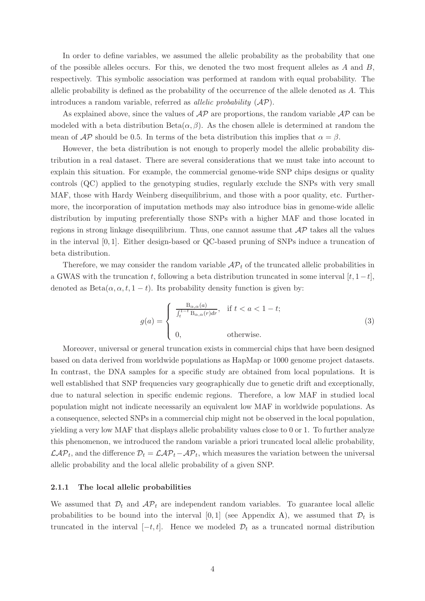In order to define variables, we assumed the allelic probability as the probability that one of the possible alleles occurs. For this, we denoted the two most frequent alleles as  $A$  and  $B$ , respectively. This symbolic association was performed at random with equal probability. The allelic probability is defined as the probability of the occurrence of the allele denoted as A. This introduces a random variable, referred as *allelic probability*  $(AP)$ .

As explained above, since the values of  $\mathcal{AP}$  are proportions, the random variable  $\mathcal{AP}$  can be modeled with a beta distribution  $Beta(\alpha, \beta)$ . As the chosen allele is determined at random the mean of  $\mathcal{AP}$  should be 0.5. In terms of the beta distribution this implies that  $\alpha = \beta$ .

However, the beta distribution is not enough to properly model the allelic probability distribution in a real dataset. There are several considerations that we must take into account to explain this situation. For example, the commercial genome-wide SNP chips designs or quality controls (QC) applied to the genotyping studies, regularly exclude the SNPs with very small MAF, those with Hardy Weinberg disequilibrium, and those with a poor quality, etc. Furthermore, the incorporation of imputation methods may also introduce bias in genome-wide allelic distribution by imputing preferentially those SNPs with a higher MAF and those located in regions in strong linkage disequilibrium. Thus, one cannot assume that  $\mathcal{AP}$  takes all the values in the interval [0, 1]. Either design-based or QC-based pruning of SNPs induce a truncation of beta distribution.

Therefore, we may consider the random variable  $\mathcal{AP}_t$  of the truncated allelic probabilities in a GWAS with the truncation t, following a beta distribution truncated in some interval  $[t, 1-t]$ , denoted as  $Beta(\alpha, \alpha, t, 1-t)$ . Its probability density function is given by:

<span id="page-3-0"></span>
$$
g(a) = \begin{cases} \frac{\mathcal{B}_{\alpha,\alpha}(a)}{\int_t^{1-t} \mathcal{B}_{\alpha,\alpha}(r) dr}, & \text{if } t < a < 1-t; \\ 0, & \text{otherwise.} \end{cases}
$$
(3)

Moreover, universal or general truncation exists in commercial chips that have been designed based on data derived from worldwide populations as HapMap or 1000 genome project datasets. In contrast, the DNA samples for a specific study are obtained from local populations. It is well established that SNP frequencies vary geographically due to genetic drift and exceptionally, due to natural selection in specific endemic regions. Therefore, a low MAF in studied local population might not indicate necessarily an equivalent low MAF in worldwide populations. As a consequence, selected SNPs in a commercial chip might not be observed in the local population, yielding a very low MAF that displays allelic probability values close to 0 or 1. To further analyze this phenomenon, we introduced the random variable a priori truncated local allelic probability,  $\mathcal{LAP}_t$ , and the difference  $\mathcal{D}_t = \mathcal{LAP}_t - \mathcal{AP}_t$ , which measures the variation between the universal allelic probability and the local allelic probability of a given SNP.

#### 2.1.1 The local allelic probabilities

We assumed that  $\mathcal{D}_t$  and  $\mathcal{AP}_t$  are independent random variables. To guarantee local allelic probabilities to be bound into the interval [0,1] (see Appendix [A\)](#page-17-0), we assumed that  $\mathcal{D}_t$  is truncated in the interval  $[-t, t]$ . Hence we modeled  $\mathcal{D}_t$  as a truncated normal distribution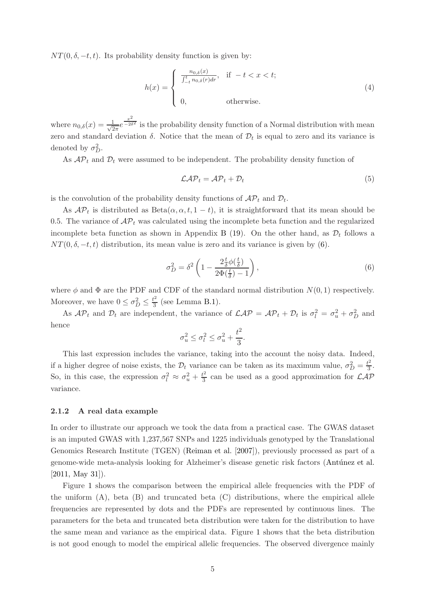$NT(0, \delta, -t, t)$ . Its probability density function is given by:

$$
h(x) = \begin{cases} \frac{n_{0,\delta}(x)}{\int_{-t}^{t} n_{0,\delta}(r) dr}, & \text{if } -t < x < t; \\ 0, & \text{otherwise.} \end{cases}
$$
 (4)

where  $n_{0,\delta}(x) = \frac{1}{\sqrt{2}}$  $rac{x^2}{2\pi}e^{\frac{x^2}{2\delta}}$  $-\overline{e^{2\delta^2}}$  is the probability density function of a Normal distribution with mean zero and standard deviation  $\delta$ . Notice that the mean of  $\mathcal{D}_t$  is equal to zero and its variance is denoted by  $\sigma_D^2$ .

As  $AP_t$  and  $D_t$  were assumed to be independent. The probability density function of

<span id="page-4-1"></span>
$$
\mathcal{LAP}_t = \mathcal{AP}_t + \mathcal{D}_t \tag{5}
$$

is the convolution of the probability density functions of  $\mathcal{AP}_t$  and  $\mathcal{D}_t$ .

As  $\mathcal{AP}_t$  is distributed as  $Beta(\alpha, \alpha, t, 1-t)$ , it is straightforward that its mean should be 0.5. The variance of  $\mathcal{AP}_t$  was calculated using the incomplete beta function and the regularized incomplete beta function as shown in Appendix [B](#page-18-0) [\(19\)](#page-18-1). On the other hand, as  $\mathcal{D}_t$  follows a  $NT(0, \delta, -t, t)$  distribution, its mean value is zero and its variance is given by [\(6\)](#page-4-0).

<span id="page-4-0"></span>
$$
\sigma_D^2 = \delta^2 \left( 1 - \frac{2 \frac{t}{\delta} \phi(\frac{t}{\delta})}{2\Phi(\frac{t}{\delta}) - 1} \right),\tag{6}
$$

where  $\phi$  and  $\Phi$  are the PDF and CDF of the standard normal distribution  $N(0, 1)$  respectively. Moreover, we have  $0 \leq \sigma_D^2 \leq \frac{t^2}{3}$  (see Lemma [B.1\)](#page-19-0). 3

As  $AP_t$  and  $D_t$  are independent, the variance of  $\mathcal{LAP} = AP_t + D_t$  is  $\sigma_l^2 = \sigma_u^2 + \sigma_D^2$  and hence

$$
\sigma_u^2 \le \sigma_l^2 \le \sigma_u^2 + \frac{t^2}{3}.
$$

This last expression includes the variance, taking into the account the noisy data. Indeed, if a higher degree of noise exists, the  $\mathcal{D}_t$  variance can be taken as its maximum value,  $\sigma_D^2 = \frac{t^2}{3}$  $\frac{1}{3}$ . So, in this case, the expression  $\sigma_l^2 \approx \sigma_u^2 + \frac{t^2}{3}$  $\frac{\partial^2}{\partial 3}$  can be used as a good approximation for  $\mathcal{LAP}$ variance.

### <span id="page-4-2"></span>2.1.2 A real data example

In order to illustrate our approach we took the data from a practical case. The GWAS dataset is an imputed GWAS with 1,237,567 SNPs and 1225 individuals genotyped by the Translational Genomics Research Institute (TGEN) [\(Reiman et al.](#page-23-7) [\[2007](#page-23-7)]), previously processed as part of a genome-wide meta-analysis looking for Alzheimer's disease genetic risk factors (Antúnez et al. [\[2011, May 31\]](#page-22-3)).

Figure [1](#page-5-0) shows the comparison between the empirical allele frequencies with the PDF of the uniform  $(A)$ , beta  $(B)$  and truncated beta  $(C)$  distributions, where the empirical allele frequencies are represented by dots and the PDFs are represented by continuous lines. The parameters for the beta and truncated beta distribution were taken for the distribution to have the same mean and variance as the empirical data. Figure [1](#page-5-0) shows that the beta distribution is not good enough to model the empirical allelic frequencies. The observed divergence mainly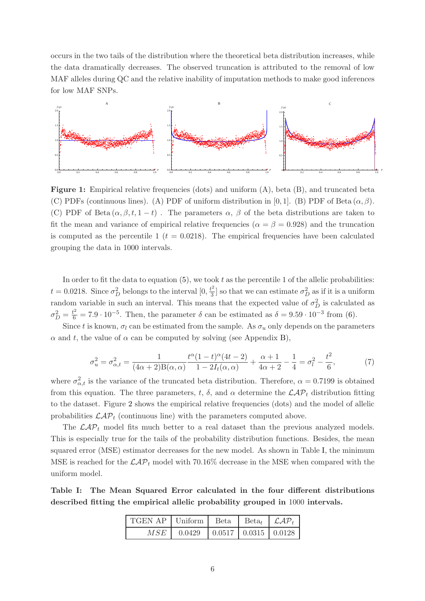occurs in the two tails of the distribution where the theoretical beta distribution increases, while the data dramatically decreases. The observed truncation is attributed to the removal of low MAF alleles during QC and the relative inability of imputation methods to make good inferences for low MAF SNPs.

<span id="page-5-0"></span>

Figure 1: Empirical relative frequencies (dots) and uniform (A), beta (B), and truncated beta (C) PDFs (continuous lines). (A) PDF of uniform distribution in [0, 1]. (B) PDF of Beta  $(\alpha, \beta)$ . (C) PDF of Beta  $(\alpha, \beta, t, 1-t)$ . The parameters  $\alpha$ ,  $\beta$  of the beta distributions are taken to fit the mean and variance of empirical relative frequencies ( $\alpha = \beta = 0.928$ ) and the truncation is computed as the percentile 1 ( $t = 0.0218$ ). The empirical frequencies have been calculated grouping the data in 1000 intervals.

In order to fit the data to equation  $(5)$ , we took t as the percentile 1 of the allelic probabilities:  $t = 0.0218$ . Since  $\sigma_D^2$  belongs to the interval  $[0, \frac{t^2}{3}]$  $\frac{b}{3}$  so that we can estimate  $\sigma_D^2$  as if it is a uniform random variable in such an interval. This means that the expected value of  $\sigma_D^2$  is calculated as  $\sigma_D^2 = \frac{t^2}{6} = 7.9 \cdot 10^{-5}$ . Then, the parameter  $\delta$  can be estimated as  $\delta = 9.59 \cdot 10^{-3}$  from [\(6\)](#page-4-0).

Since t is known,  $\sigma_l$  can be estimated from the sample. As  $\sigma_u$  only depends on the parameters  $\alpha$  and t, the value of  $\alpha$  can be computed by solving (see Appendix [B\)](#page-18-0),

$$
\sigma_u^2 = \sigma_{\alpha,t}^2 = \frac{1}{(4\alpha+2)B(\alpha,\alpha)} \frac{t^{\alpha}(1-t)^{\alpha}(4t-2)}{1-2I_t(\alpha,\alpha)} + \frac{\alpha+1}{4\alpha+2} - \frac{1}{4} = \sigma_l^2 - \frac{t^2}{6},\tag{7}
$$

where  $\sigma_{\alpha,t}^2$  is the variance of the truncated beta distribution. Therefore,  $\alpha = 0.7199$  is obtained from this equation. The three parameters, t,  $\delta$ , and  $\alpha$  determine the  $\mathcal{LAP}_t$  distribution fitting to the dataset. Figure [2](#page-6-0) shows the empirical relative frequencies (dots) and the model of allelic probabilities  $\mathcal{LAP}_t$  (continuous line) with the parameters computed above.

The  $\mathcal{LAP}_t$  model fits much better to a real dataset than the previous analyzed models. This is especially true for the tails of the probability distribution functions. Besides, the mean squared error (MSE) estimator decreases for the new model. As shown in Table [I,](#page-5-1) the minimum MSE is reached for the  $\mathcal{LAP}_t$  model with 70.16% decrease in the MSE when compared with the uniform model.

<span id="page-5-1"></span>Table I: The Mean Squared Error calculated in the four different distributions described fitting the empirical allelic probability grouped in 1000 intervals.

| TGEN AP   Uniform   Beta   Beta   $\mathcal{LAP}_t$ |                                           |  |  |
|-----------------------------------------------------|-------------------------------------------|--|--|
|                                                     | $MSE$   0.0429   0.0517   0.0315   0.0128 |  |  |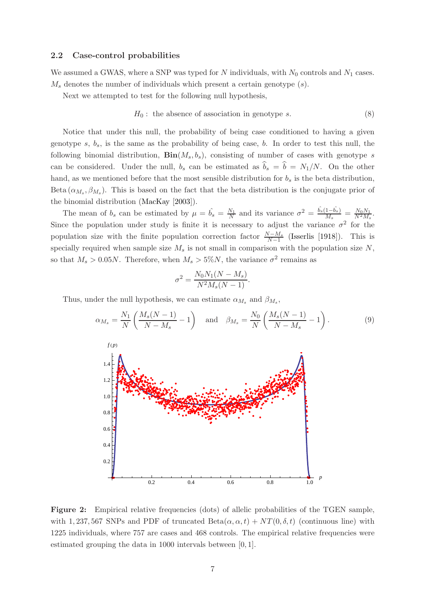#### 2.2 Case-control probabilities

We assumed a GWAS, where a SNP was typed for  $N$  individuals, with  $N_0$  controls and  $N_1$  cases.  $M_s$  denotes the number of individuals which present a certain genotype  $(s)$ .

Next we attempted to test for the following null hypothesis,

$$
H_0: the absence of association in genotype s. \t\t(8)
$$

Notice that under this null, the probability of being case conditioned to having a given genotype s,  $b_s$ , is the same as the probability of being case, b. In order to test this null, the following binomial distribution,  $\text{Bin}(M_s, b_s)$ , consisting of number of cases with genotype s can be considered. Under the null,  $b_s$  can be estimated as  $\hat{b}_s = \hat{b} = N_1/N$ . On the other hand, as we mentioned before that the most sensible distribution for  $b_s$  is the beta distribution, Beta  $(\alpha_{M_s}, \beta_{M_s})$ . This is based on the fact that the beta distribution is the conjugate prior of the binomial distribution [\(MacKay](#page-23-8) [\[2003](#page-23-8)]).

The mean of  $b_s$  can be estimated by  $\mu = \hat{b_s} = \frac{N_1}{N}$  $\frac{N_1}{N}$  and its variance  $\sigma^2 = \frac{\hat{b_s}(1-\hat{b_s})}{M_s} = \frac{N_0 N_1}{N^2 M_s}$ . Since the population under study is finite it is necessary to adjust the variance  $\sigma^2$  for the population size with the finite population correction factor  $\frac{N-M_s}{N-1}$  $\frac{N-M_s}{N-1}$  [\(Isserlis](#page-23-9) [\[1918\]](#page-23-9)). This is specially required when sample size  $M_s$  is not small in comparison with the population size  $N$ , so that  $M_s > 0.05N$ . Therefore, when  $M_s > 5\%N$ , the variance  $\sigma^2$  remains as

$$
\sigma^2 = \frac{N_0 N_1 (N - M_s)}{N^2 M_s (N - 1)}.
$$

<span id="page-6-0"></span>Thus, under the null hypothesis, we can estimate  $\alpha_{M_s}$  and  $\beta_{M_s}$ ,



Figure 2: Empirical relative frequencies (dots) of allelic probabilities of the TGEN sample, with 1, 237, 567 SNPs and PDF of truncated  $Beta(\alpha, \alpha, t) + NT(0, \delta, t)$  (continuous line) with 1225 individuals, where 757 are cases and 468 controls. The empirical relative frequencies were estimated grouping the data in 1000 intervals between [0, 1].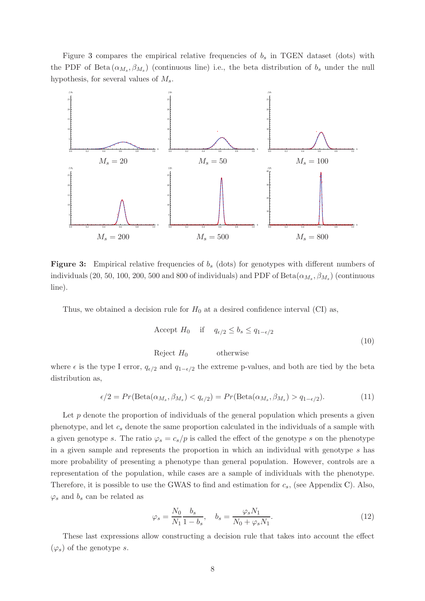Figure [3](#page-7-0) compares the empirical relative frequencies of  $b_s$  in TGEN dataset (dots) with the PDF of Beta  $(\alpha_{M_s}, \beta_{M_s})$  (continuous line) i.e., the beta distribution of  $b_s$  under the null hypothesis, for several values of  $M_s$ .

<span id="page-7-0"></span>

Figure 3: Empirical relative frequencies of  $b_s$  (dots) for genotypes with different numbers of individuals  $(20, \, 50, \, 100, \, 200, \, 500$  and  $800$  of individuals) and PDF of Beta $(\alpha_{M_s}, \beta_{M_s})$  (continuous line).

Thus, we obtained a decision rule for  $H_0$  at a desired confidence interval (CI) as,

<span id="page-7-1"></span>Accept 
$$
H_0
$$
 if  $q_{\epsilon/2} \le b_s \le q_{1-\epsilon/2}$   
Reject  $H_0$  otherwise (10)

where  $\epsilon$  is the type I error,  $q_{\epsilon/2}$  and  $q_{1-\epsilon/2}$  the extreme p-values, and both are tied by the beta distribution as,

$$
\epsilon/2 = Pr(\text{Beta}(\alpha_{M_s}, \beta_{M_s}) < q_{\epsilon/2}) = Pr(\text{Beta}(\alpha_{M_s}, \beta_{M_s}) > q_{1-\epsilon/2}).\tag{11}
$$

Let  $p$  denote the proportion of individuals of the general population which presents a given phenotype, and let  $c_s$  denote the same proportion calculated in the individuals of a sample with a given genotype s. The ratio  $\varphi_s = c_s/p$  is called the effect of the genotype s on the phenotype in a given sample and represents the proportion in which an individual with genotype s has more probability of presenting a phenotype than general population. However, controls are a representation of the population, while cases are a sample of individuals with the phenotype. Therefore, it is possible to use the GWAS to find and estimation for  $c_s$ , (see Appendix [C\)](#page-20-0). Also,  $\varphi_s$  and  $b_s$  can be related as

$$
\varphi_s = \frac{N_0}{N_1} \frac{b_s}{1 - b_s}, \quad b_s = \frac{\varphi_s N_1}{N_0 + \varphi_s N_1}.
$$
\n
$$
(12)
$$

These last expressions allow constructing a decision rule that takes into account the effect  $(\varphi_s)$  of the genotype s.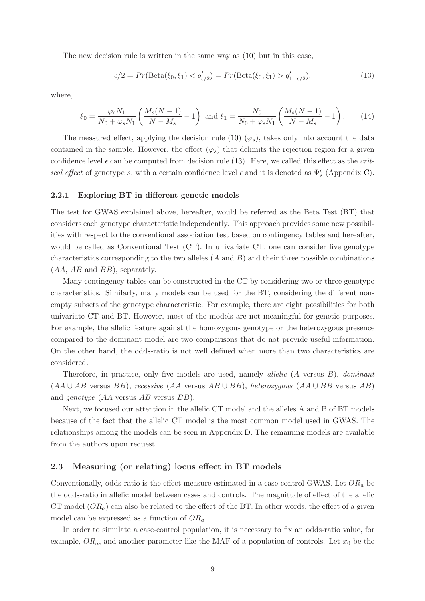The new decision rule is written in the same way as [\(10\)](#page-7-1) but in this case,

<span id="page-8-0"></span>
$$
\epsilon/2 = Pr(\text{Beta}(\xi_0, \xi_1) < q'_{\epsilon/2}) = Pr(\text{Beta}(\xi_0, \xi_1) > q'_{1-\epsilon/2}),\tag{13}
$$

where,

$$
\xi_0 = \frac{\varphi_s N_1}{N_0 + \varphi_s N_1} \left( \frac{M_s (N-1)}{N - M_s} - 1 \right) \text{ and } \xi_1 = \frac{N_0}{N_0 + \varphi_s N_1} \left( \frac{M_s (N-1)}{N - M_s} - 1 \right). \tag{14}
$$

The measured effect, applying the decision rule [\(10\)](#page-7-1)  $(\varphi_s)$ , takes only into account the data contained in the sample. However, the effect  $(\varphi_s)$  that delimits the rejection region for a given confidence level  $\epsilon$  can be computed from decision rule [\(13\)](#page-8-0). Here, we called this effect as the *critical effect* of genotype s, with a certain confidence level  $\epsilon$  and it is denoted as  $\Psi_s^{\epsilon}$  (Appendix [C\)](#page-20-0).

#### 2.2.1 Exploring BT in different genetic models

The test for GWAS explained above, hereafter, would be referred as the Beta Test (BT) that considers each genotype characteristic independently. This approach provides some new possibilities with respect to the conventional association test based on contingency tables and hereafter, would be called as Conventional Test (CT). In univariate CT, one can consider five genotype characteristics corresponding to the two alleles  $(A \text{ and } B)$  and their three possible combinations  $(AA, AB \text{ and } BB)$ , separately.

Many contingency tables can be constructed in the CT by considering two or three genotype characteristics. Similarly, many models can be used for the BT, considering the different nonempty subsets of the genotype characteristic. For example, there are eight possibilities for both univariate CT and BT. However, most of the models are not meaningful for genetic purposes. For example, the allelic feature against the homozygous genotype or the heterozygous presence compared to the dominant model are two comparisons that do not provide useful information. On the other hand, the odds-ratio is not well defined when more than two characteristics are considered.

Therefore, in practice, only five models are used, namely *allelic*  $(A$  versus  $B$ ), *dominant*  $(AA \cup AB$  versus BB), recessive  $(AA$  versus  $AB \cup BB$ ), heterozygous  $(AA \cup BB$  versus AB) and genotype (AA versus AB versus BB).

Next, we focused our attention in the allelic CT model and the alleles A and B of BT models because of the fact that the allelic CT model is the most common model used in GWAS. The relationships among the models can be seen in Appendix [D.](#page-21-0) The remaining models are available from the authors upon request.

#### 2.3 Measuring (or relating) locus effect in BT models

Conventionally, odds-ratio is the effect measure estimated in a case-control GWAS. Let  $OR_a$  be the odds-ratio in allelic model between cases and controls. The magnitude of effect of the allelic CT model  $(OR_a)$  can also be related to the effect of the BT. In other words, the effect of a given model can be expressed as a function of  $OR_a$ .

In order to simulate a case-control population, it is necessary to fix an odds-ratio value, for example,  $OR_a$ , and another parameter like the MAF of a population of controls. Let  $x_0$  be the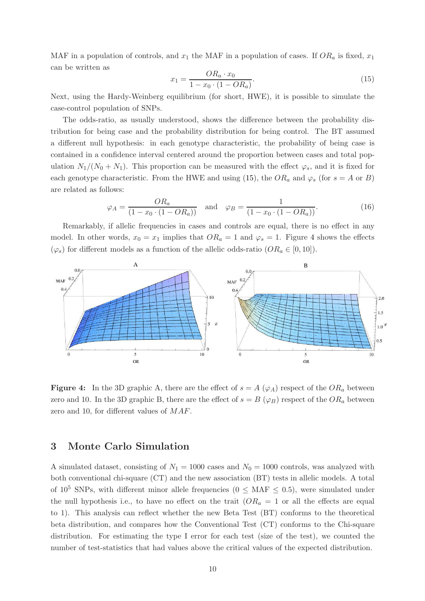MAF in a population of controls, and  $x_1$  the MAF in a population of cases. If  $OR_a$  is fixed,  $x_1$ can be written as

<span id="page-9-0"></span>
$$
x_1 = \frac{OR_a \cdot x_0}{1 - x_0 \cdot (1 - OR_a)}.\tag{15}
$$

Next, using the Hardy-Weinberg equilibrium (for short, HWE), it is possible to simulate the case-control population of SNPs.

The odds-ratio, as usually understood, shows the difference between the probability distribution for being case and the probability distribution for being control. The BT assumed a different null hypothesis: in each genotype characteristic, the probability of being case is contained in a confidence interval centered around the proportion between cases and total population  $N_1/(N_0 + N_1)$ . This proportion can be measured with the effect  $\varphi_s$ , and it is fixed for each genotype characteristic. From the HWE and using [\(15\)](#page-9-0), the  $OR_a$  and  $\varphi_s$  (for  $s = A$  or B) are related as follows:

<span id="page-9-2"></span>
$$
\varphi_A = \frac{OR_a}{(1 - x_0 \cdot (1 - OR_a))}
$$
 and  $\varphi_B = \frac{1}{(1 - x_0 \cdot (1 - OR_a))}$ . (16)

Remarkably, if allelic frequencies in cases and controls are equal, there is no effect in any model. In other words,  $x_0 = x_1$  implies that  $OR_a = 1$  and  $\varphi_s = 1$ . Figure [4](#page-9-1) shows the effects  $(\varphi_s)$  for different models as a function of the allelic odds-ratio  $(OR_a \in [0, 10])$ .

<span id="page-9-1"></span>

**Figure 4:** In the 3D graphic A, there are the effect of  $s = A(\varphi_A)$  respect of the  $OR_a$  between zero and 10. In the 3D graphic B, there are the effect of  $s = B(\varphi_B)$  respect of the  $OR_a$  between zero and 10, for different values of MAF.

### 3 Monte Carlo Simulation

A simulated dataset, consisting of  $N_1 = 1000$  cases and  $N_0 = 1000$  controls, was analyzed with both conventional chi-square (CT) and the new association (BT) tests in allelic models. A total of  $10^5$  SNPs, with different minor allele frequencies ( $0 \leq \text{MAF} \leq 0.5$ ), were simulated under the null hypothesis i.e., to have no effect on the trait  $(OR<sub>a</sub> = 1$  or all the effects are equal to 1). This analysis can reflect whether the new Beta Test (BT) conforms to the theoretical beta distribution, and compares how the Conventional Test (CT) conforms to the Chi-square distribution. For estimating the type I error for each test (size of the test), we counted the number of test-statistics that had values above the critical values of the expected distribution.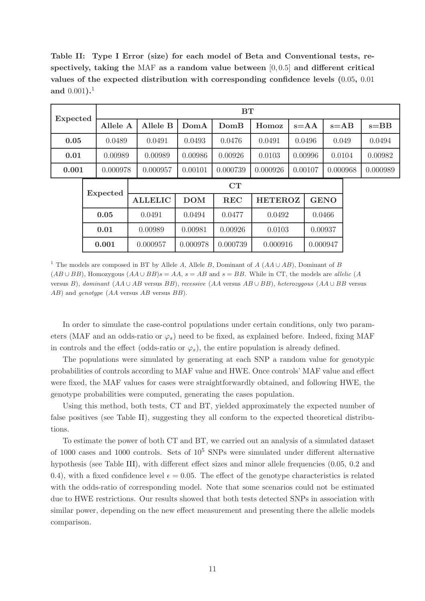<span id="page-10-0"></span>Table II: Type I Error (size) for each model of Beta and Conventional tests, respectively, taking the MAF as a random value between  $[0, 0.5]$  and different critical values of the expected distribution with corresponding confidence levels (0.05, 0.01 and  $0.001$ ).<sup>1</sup>

|                 |                 | BT              |                      |            |            |                |  |                      |             |          |          |  |        |  |
|-----------------|-----------------|-----------------|----------------------|------------|------------|----------------|--|----------------------|-------------|----------|----------|--|--------|--|
| <b>Expected</b> |                 | Allele A        | Allele B             | DomA       | DomB       | Homoz          |  | $s = AB$<br>$s = AA$ |             |          | $s = BB$ |  |        |  |
| 0.05            |                 | 0.0489          | 0.0491               | 0.0493     | 0.0476     | 0.0491         |  | 0.0496               |             | 0.049    |          |  | 0.0494 |  |
| 0.01            |                 | 0.00989         | 0.00989              | 0.00986    | 0.00926    | 0.0103         |  | 0.00996              |             | 0.0104   | 0.00982  |  |        |  |
| 0.001           |                 | 0.000978        | 0.000957             | 0.00101    | 0.000739   | 0.000926       |  | 0.00107              |             | 0.000968 |          |  |        |  |
|                 | <b>Expected</b> |                 |                      | CT         |            |                |  |                      |             |          |          |  |        |  |
|                 |                 |                 | <b>ALLELIC</b>       | <b>DOM</b> | <b>REC</b> | <b>HETEROZ</b> |  |                      | <b>GENO</b> |          |          |  |        |  |
|                 |                 | 0.05            | 0.0491               | 0.0494     | 0.0477     | 0.0492         |  | 0.0466               |             |          |          |  |        |  |
|                 |                 | 0.01<br>0.00989 |                      | 0.00981    | 0.00926    | 0.0103         |  |                      | 0.00937     |          |          |  |        |  |
|                 |                 | 0.001           | 0.000957<br>0.000978 |            | 0.000739   | 0.000916       |  | 0.000947             |             |          |          |  |        |  |

<sup>1</sup> The models are composed in BT by Allele A, Allele B, Dominant of A ( $AA \cup AB$ ), Dominant of B  $(AB \cup BB)$ , Homozygous  $(AA \cup BB)s = AA$ ,  $s = AB$  and  $s = BB$ . While in CT, the models are allelic (A versus B), dominant  $(AA \cup AB$  versus BB), recessive  $(AA$  versus  $AB \cup BB$ ), heterozygous  $(AA \cup BB$  versus AB) and *genotype* (AA versus AB versus BB).

In order to simulate the case-control populations under certain conditions, only two parameters (MAF and an odds-ratio or  $\varphi_s$ ) need to be fixed, as explained before. Indeed, fixing MAF in controls and the effect (odds-ratio or  $\varphi_s$ ), the entire population is already defined.

The populations were simulated by generating at each SNP a random value for genotypic probabilities of controls according to MAF value and HWE. Once controls' MAF value and effect were fixed, the MAF values for cases were straightforwardly obtained, and following HWE, the genotype probabilities were computed, generating the cases population.

Using this method, both tests, CT and BT, yielded approximately the expected number of false positives (see Table [II\)](#page-10-0), suggesting they all conform to the expected theoretical distributions.

To estimate the power of both CT and BT, we carried out an analysis of a simulated dataset of 1000 cases and 1000 controls. Sets of  $10^5$  SNPs were simulated under different alternative hypothesis (see Table [III\)](#page-11-0), with different effect sizes and minor allele frequencies (0.05, 0.2 and 0.4), with a fixed confidence level  $\epsilon = 0.05$ . The effect of the genotype characteristics is related with the odds-ratio of corresponding model. Note that some scenarios could not be estimated due to HWE restrictions. Our results showed that both tests detected SNPs in association with similar power, depending on the new effect measurement and presenting there the allelic models comparison.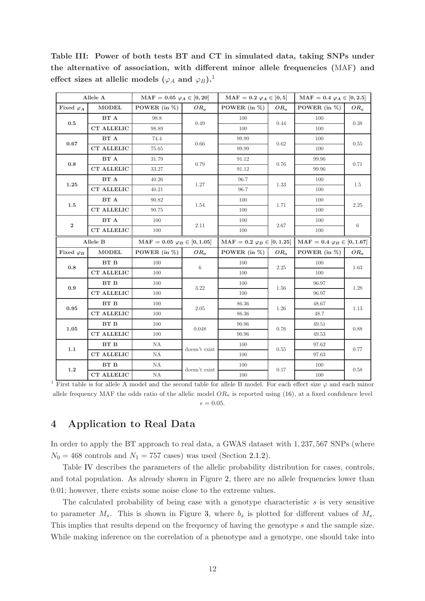|                                    | Allele A          | $MAF = 0.05 \varphi_A \in [0, 20]$   | $\text{MAF}$ = 0.2 $\varphi_A \in [0,5]$<br>$MAF = 0.4 \varphi_A \in [0, 2.5]$ |                                                 |        |                                                 |        |  |
|------------------------------------|-------------------|--------------------------------------|--------------------------------------------------------------------------------|-------------------------------------------------|--------|-------------------------------------------------|--------|--|
| Fixed $\varphi_A$                  | <b>MODEL</b>      | POWER (in $\%$ )                     | $OR_a$                                                                         | POWER (in $\%$ )                                | $OR_a$ | POWER (in $\%$ )                                | $OR_a$ |  |
| 0.5                                | BT A              | 98.8                                 | 0.49                                                                           | 100                                             | 0.44   | 100                                             | 0.38   |  |
|                                    | <b>CT ALLELIC</b> | 98.89                                |                                                                                | 100                                             |        | 100                                             |        |  |
| 0.67                               | BT A              | 74.4                                 |                                                                                | 99.99                                           |        | 100                                             | 0.55   |  |
|                                    | <b>CT ALLELIC</b> | 75.65                                | 0.66                                                                           | 99.99                                           | 0.62   | 100                                             |        |  |
| BT A                               |                   | 31.79                                |                                                                                | 91.12                                           | 0.76   | 99.96                                           | 0.71   |  |
| 0.8                                | <b>CT ALLELIC</b> | 33.27                                | 0.79<br>91.12                                                                  |                                                 |        | 99.96                                           |        |  |
|                                    | BT A              | 40.26                                |                                                                                | 96.7                                            |        | 100                                             |        |  |
| 1.25                               | <b>CT ALLELIC</b> | 40.21                                | 1.27                                                                           | 96.7                                            | 1.33   | 100                                             | 1.5    |  |
| 1.5                                | BT A              | 90.82                                | 1.54                                                                           | 100                                             |        | 100                                             | 2.25   |  |
|                                    | <b>CT ALLELIC</b> | 90.75                                |                                                                                | 100                                             | 1.71   | 100                                             |        |  |
| BT A<br>$\,2$<br><b>CT ALLELIC</b> | 100               | 2.11                                 | 100                                                                            | $2.67\,$                                        | 100    | $\,6\,$                                         |        |  |
|                                    |                   | 100                                  |                                                                                | 100                                             |        | 100                                             |        |  |
| Allele B                           |                   |                                      |                                                                                |                                                 |        |                                                 |        |  |
|                                    |                   | $MAF = 0.05 \varphi_B \in [0, 1.05]$ |                                                                                | $\mathrm{MAF} = 0.2 \; \varphi_B \in [0, 1.25]$ |        | $\mathrm{MAF} = 0.4 \; \varphi_B \in [0, 1.67]$ |        |  |
| Fixed $\varphi_B$                  | <b>MODEL</b>      | POWER (in $\%$ )                     | $OR_a$                                                                         | POWER (in $\%$ )                                | $OR_a$ | POWER (in $%$ )                                 | $OR_a$ |  |
|                                    | <b>BT B</b>       | 100                                  |                                                                                | 100                                             |        | 100                                             |        |  |
| 0.8                                | <b>CT ALLELIC</b> | 100                                  | 6                                                                              | 100                                             | 2.25   | 100                                             | 1.63   |  |
|                                    | BT B              | 100                                  |                                                                                | 100                                             |        | 96.97                                           |        |  |
| 0.9                                | <b>CT ALLELIC</b> | 100                                  | 3.22                                                                           | 100                                             | 1.56   | 96.97                                           | 1.28   |  |
|                                    | <b>BT B</b>       | 100                                  |                                                                                | 86.36                                           |        | 48.67                                           |        |  |
| 0.95                               | <b>CT ALLELIC</b> | 100                                  | 2.05                                                                           | 86.36                                           | 1.26   | 48.7                                            | 1.13   |  |
|                                    | BT B              | 100                                  |                                                                                | 90.96                                           |        | 49.51                                           |        |  |
| 1.05                               | <b>CT ALLELIC</b> | 100                                  | 0.048                                                                          | 90.96                                           | 0.76   | 49.53                                           | 0.88   |  |
|                                    | <b>BT B</b>       | NA                                   |                                                                                | 100                                             |        | 97.62                                           |        |  |
| 1.1                                | <b>CT ALLELIC</b> | NA                                   | doesn't exist                                                                  | 100                                             | 0.55   | 97.63                                           | 0.77   |  |
| 1.2                                | <b>BT B</b>       | NA                                   | doesn't exist                                                                  | 100                                             | 0.17   | 100                                             | 0.58   |  |

<span id="page-11-0"></span>Table III: Power of both tests BT and CT in simulated data, taking SNPs under the alternative of association, with different minor allele frequencies (MAF) and effect sizes at allelic models ( $\varphi_A$  and  $\varphi_B$ ).<sup>1</sup>

<sup>1</sup> First table is for allele A model and the second table for allele B model. For each effect size  $\varphi$  and each minor allele frequency MAF the odds ratio of the allelic model  $OR<sub>a</sub>$  is reported using [\(16\)](#page-9-2), at a fixed confidence level  $\epsilon = 0.05$ .

### 4 Application to Real Data

In order to apply the BT approach to real data, a GWAS dataset with 1, 237, 567 SNPs (where  $N_0 = 468$  controls and  $N_1 = 757$  cases) was used (Section [2.1.2\)](#page-4-2).

Table [IV](#page-12-0) describes the parameters of the allelic probability distribution for cases, controls, and total population. As already shown in Figure [2,](#page-6-0) there are no allele frequencies lower than 0.01; however, there exists some noise close to the extreme values.

The calculated probability of being case with a genotype characteristic  $s$  is very sensitive to parameter  $M_s$ . This is shown in Figure [3,](#page-7-0) where  $b_s$  is plotted for different values of  $M_s$ . This implies that results depend on the frequency of having the genotype s and the sample size. While making inference on the correlation of a phenotype and a genotype, one should take into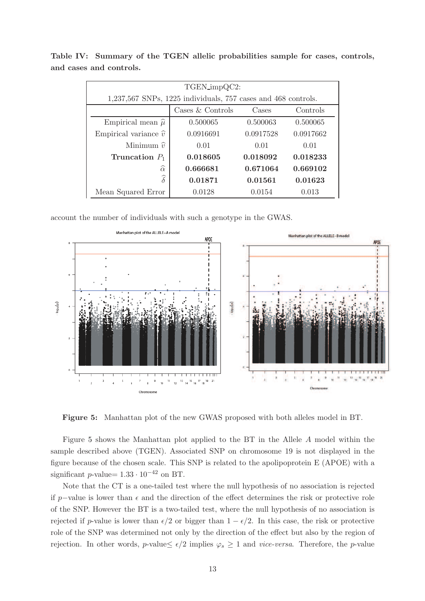| TGEN_impQC2:                                                      |           |           |           |  |  |  |  |  |  |  |
|-------------------------------------------------------------------|-----------|-----------|-----------|--|--|--|--|--|--|--|
| $1,237,567$ SNPs, $1225$ individuals, 757 cases and 468 controls. |           |           |           |  |  |  |  |  |  |  |
| Cases $&$ Controls<br>Controls<br>Cases                           |           |           |           |  |  |  |  |  |  |  |
| Empirical mean $\hat{\mu}$                                        | 0.500065  | 0.500063  | 0.500065  |  |  |  |  |  |  |  |
| Empirical variance $\hat{v}$                                      | 0.0916691 | 0.0917528 | 0.0917662 |  |  |  |  |  |  |  |
| Minimum $\hat{v}$                                                 | 0.01      | 0.01      | 0.01      |  |  |  |  |  |  |  |
| Truncation $P_1$                                                  | 0.018605  | 0.018092  | 0.018233  |  |  |  |  |  |  |  |
| $\widehat{\alpha}$                                                | 0.666681  | 0.671064  | 0.669102  |  |  |  |  |  |  |  |
| $\widehat{\delta}$<br>0.01871<br>0.01561<br>0.01623               |           |           |           |  |  |  |  |  |  |  |
| Mean Squared Error                                                | 0.0128    | 0.0154    | 0.013     |  |  |  |  |  |  |  |

<span id="page-12-0"></span>Table IV: Summary of the TGEN allelic probabilities sample for cases, controls, and cases and controls.

<span id="page-12-1"></span>account the number of individuals with such a genotype in the GWAS.



Figure 5: Manhattan plot of the new GWAS proposed with both alleles model in BT.

Figure [5](#page-12-1) shows the Manhattan plot applied to the BT in the Allele A model within the sample described above (TGEN). Associated SNP on chromosome 19 is not displayed in the figure because of the chosen scale. This SNP is related to the apolipoprotein E (APOE) with a significant p-value=  $1.33 \cdot 10^{-42}$  on BT.

Note that the CT is a one-tailed test where the null hypothesis of no association is rejected if p–value is lower than  $\epsilon$  and the direction of the effect determines the risk or protective role of the SNP. However the BT is a two-tailed test, where the null hypothesis of no association is rejected if p-value is lower than  $\epsilon/2$  or bigger than  $1 - \epsilon/2$ . In this case, the risk or protective role of the SNP was determined not only by the direction of the effect but also by the region of rejection. In other words, p-value  $\epsilon/2$  implies  $\varphi_s \geq 1$  and *vice-versa*. Therefore, the p-value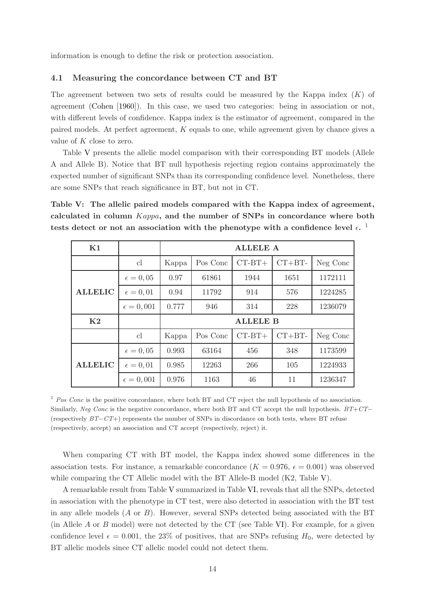information is enough to define the risk or protection association.

#### 4.1 Measuring the concordance between CT and BT

The agreement between two sets of results could be measured by the Kappa index  $(K)$  of agreement [\(Cohen](#page-22-4) [\[1960](#page-22-4)]). In this case, we used two categories: being in association or not, with different levels of confidence. Kappa index is the estimator of agreement, compared in the paired models. At perfect agreement, K equals to one, while agreement given by chance gives a value of  $K$  close to zero.

Table [V](#page-13-0) presents the allelic model comparison with their corresponding BT models (Allele A and Allele B). Notice that BT null hypothesis rejecting region contains approximately the expected number of significant SNPs than its corresponding confidence level. Nonetheless, there are some SNPs that reach significance in BT, but not in CT.

<span id="page-13-0"></span>Table V: The allelic paired models compared with the Kappa index of agreement, calculated in column Kappa, and the number of SNPs in concordance where both tests detect or not an association with the phenotype with a confidence level  $\epsilon$ .<sup>1</sup>

| K1             |                    | <b>ALLELE A</b> |          |                 |          |          |  |  |  |  |  |
|----------------|--------------------|-----------------|----------|-----------------|----------|----------|--|--|--|--|--|
|                | cl                 | Kappa           | Pos Conc | $CT-BT+$        | $CT+BT-$ | Neg Conc |  |  |  |  |  |
|                | $\epsilon = 0, 05$ | 0.97            | 61861    | 1944            | 1651     | 1172111  |  |  |  |  |  |
| <b>ALLELIC</b> | $\epsilon = 0, 01$ | 0.94            | 11792    | 914             | 576      | 1224285  |  |  |  |  |  |
|                | $\epsilon = 0,001$ | 0.777           | 946      | 314             | 228      | 1236079  |  |  |  |  |  |
| K <sub>2</sub> |                    |                 |          | <b>ALLELE B</b> |          |          |  |  |  |  |  |
|                | cl                 | Kappa           | Pos Conc | $CT-BT+$        | $CT+BT-$ | Neg Conc |  |  |  |  |  |
|                | $\epsilon = 0,05$  | 0.993           | 63164    | 456             | 348      | 1173599  |  |  |  |  |  |
| <b>ALLELIC</b> | $\epsilon = 0, 01$ | 0.985           | 12263    | 266             | 105      | 1224933  |  |  |  |  |  |
|                | $\epsilon = 0,001$ | 0.976           | 1163     | 46              | 11       | 1236347  |  |  |  |  |  |

 $1$  Pos Conc is the positive concordance, where both BT and CT reject the null hypothesis of no association. Similarly, Neg Conc is the negative concordance, where both BT and CT accept the null hypothesis. BT+CT− (respectively  $BT-CT+$ ) represents the number of SNPs in discordance on both tests, where BT refuse (respectively, accept) an association and CT accept (respectively, reject) it.

When comparing CT with BT model, the Kappa index showed some differences in the association tests. For instance, a remarkable concordance  $(K = 0.976, \epsilon = 0.001)$  was observed while comparing the CT Allelic model with the BT Allele-B model (K2, Table [V\)](#page-13-0).

A remarkable result from Table [V](#page-13-0) summarized in Table [VI,](#page-14-0) reveals that all the SNPs, detected in association with the phenotype in CT test, were also detected in association with the BT test in any allele models  $(A \text{ or } B)$ . However, several SNPs detected being associated with the BT (in Allele A or B model) were not detected by the CT (see Table [VI\)](#page-14-0). For example, for a given confidence level  $\epsilon = 0.001$ , the 23% of positives, that are SNPs refusing  $H_0$ , were detected by BT allelic models since CT allelic model could not detect them.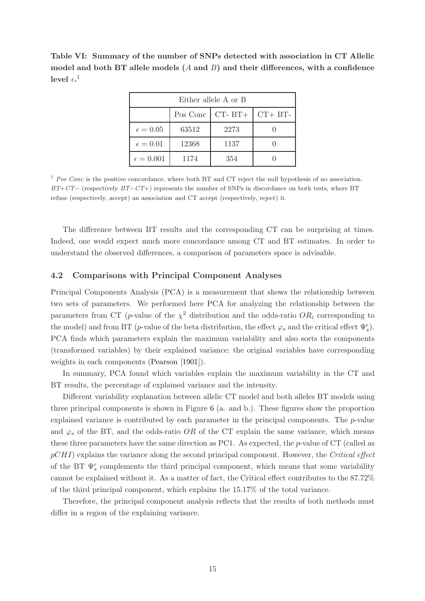<span id="page-14-0"></span>Table VI: Summary of the number of SNPs detected with association in CT Allelic model and both BT allele models  $(A \text{ and } B)$  and their differences, with a confidence level  $\epsilon.^1$ 

| Either allele A or B               |       |      |  |  |  |  |  |  |  |  |
|------------------------------------|-------|------|--|--|--|--|--|--|--|--|
| $CT-BT+$<br>$CT + BT-$<br>Pos Conc |       |      |  |  |  |  |  |  |  |  |
| $\epsilon = 0.05$                  | 63512 | 2273 |  |  |  |  |  |  |  |  |
| $\epsilon = 0.01$                  | 12368 | 1137 |  |  |  |  |  |  |  |  |
| $\epsilon = 0.001$                 | 1174  | 354  |  |  |  |  |  |  |  |  |

<sup>1</sup> Pos Conc is the positive concordance, where both BT and CT reject the null hypothesis of no association.  $BT+CT-$  (respectively  $BT-CT+$ ) represents the number of SNPs in discordance on both tests, where BT refuse (respectively, accept) an association and CT accept (respectively, reject) it.

The difference between BT results and the corresponding CT can be surprising at times. Indeed, one would expect much more concordance among CT and BT estimates. In order to understand the observed differences, a comparison of parameters space is advisable.

### 4.2 Comparisons with Principal Component Analyses

Principal Components Analysis (PCA) is a measurement that shows the relationship between two sets of parameters. We performed here PCA for analyzing the relationship between the parameters from CT (*p*-value of the  $\chi^2$  distribution and the odds-ratio  $OR_i$  corresponding to the model) and from BT (*p*-value of the beta distribution, the effect  $\varphi_s$  and the critical effect  $\Psi_s^{\epsilon}$ ). PCA finds which parameters explain the maximum variability and also sorts the components (transformed variables) by their explained variance; the original variables have corresponding weights in each components [\(Pearson](#page-23-10) [\[1901](#page-23-10)]).

In summary, PCA found which variables explain the maximum variability in the CT and BT results, the percentage of explained variance and the intensity.

Different variability explanation between allelic CT model and both alleles BT models using three principal components is shown in Figure [6](#page-15-0) (a. and b.). These figures show the proportion explained variance is contributed by each parameter in the principal components. The p-value and  $\varphi_s$  of the BT, and the odds-ratio OR of the CT explain the same variance, which means these three parameters have the same direction as PC1. As expected, the p-value of CT (called as  $pCHI$ ) explains the variance along the second principal component. However, the Critical effect of the BT  $\Psi_s^{\epsilon}$  complements the third principal component, which means that some variability cannot be explained without it. As a matter of fact, the Critical effect contributes to the 87.72% of the third principal component, which explains the 15.17% of the total variance.

Therefore, the principal component analysis reflects that the results of both methods must differ in a region of the explaining variance.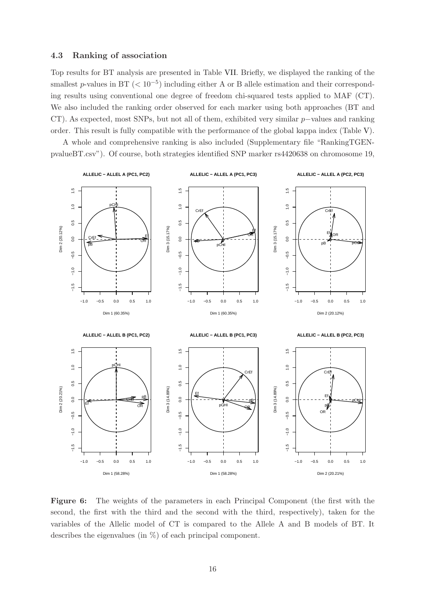#### 4.3 Ranking of association

Top results for BT analysis are presented in Table [VII.](#page-16-0) Briefly, we displayed the ranking of the smallest p-values in BT ( $< 10^{-5}$ ) including either A or B allele estimation and their corresponding results using conventional one degree of freedom chi-squared tests applied to MAF (CT). We also included the ranking order observed for each marker using both approaches (BT and CT). As expected, most SNPs, but not all of them, exhibited very similar p−values and ranking order. This result is fully compatible with the performance of the global kappa index (Table [V\)](#page-13-0).

A whole and comprehensive ranking is also included (Supplementary file "RankingTGENpvalueBT.csv"). Of course, both strategies identified SNP marker rs4420638 on chromosome 19,

<span id="page-15-0"></span>

Figure 6: The weights of the parameters in each Principal Component (the first with the second, the first with the third and the second with the third, respectively), taken for the variables of the Allelic model of CT is compared to the Allele A and B models of BT. It describes the eigenvalues (in  $\%$ ) of each principal component.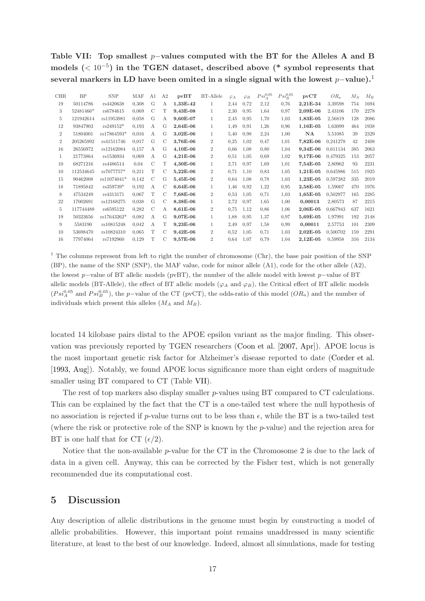<span id="page-16-0"></span>Table VII: Top smallest  $p$ –values computed with the BT for the Alleles A and B models  $(< 10^{-5})$  in the TGEN dataset, described above (\* symbol represents that several markers in LD have been omited in a single signal with the lowest  $p$ -value).<sup>1</sup>

| BP        | <b>SNP</b>  | MAF   | A1            | A2            | pvBT     | <b>BT-Allele</b> | $\varphi_A$ | $\varphi_B$ | $Psi_A^{0.05}$ | $Psi_{B}^{0.05}$ | pvCT       | $OR_a$   | $M_A$ | $M_B$ |
|-----------|-------------|-------|---------------|---------------|----------|------------------|-------------|-------------|----------------|------------------|------------|----------|-------|-------|
| 50114786  | rs4420638   | 0.308 | G             | А             | 1,33E-42 | 1                | 2,44        | 0.72        | 2,12           | 0.76             | 2,21E-34   | 3,39598  | 754   | 1694  |
| 52481466* | rs6784615   | 0.069 | $\mathcal{C}$ | T             | 9,43E-08 | 1                | 2,30        | 0.95        | 1.64           | 0.97             | 2,09E-06   | 2,43106  | 170   | 2278  |
| 121942614 | rs11953981  | 0.058 | G             | А             | 9,60E-07 | 1                | 2,45        | 0.95        | 1.70           | 1.03             | 1,83E-05   | 2,56819  | 128   | 2086  |
| 93847903  | $rs249152*$ | 0.193 | A             | G             | 2,64E-06 | 1                | 1,49        | 0.91        | 1,26           | 0,96             | 1,16E-05   | 1,63099  | 464   | 1938  |
| 51804001  | rs17864593* | 0.016 | А             | G             | 3,02E-06 | 1                | 5,40        | 0.98        | 2,24           | 1,00             | NA         | 5,51085  | 39    | 2329  |
| 205265992 | rs41511746  | 0.017 | G             | C             | 3,76E-06 | $\overline{2}$   | 0.25        | 1,02        | 0.47           | 1,01             | 7,82E-06   | 0,241278 | 42    | 2408  |
| 26556972  | rs12162084  | 0.157 | А             | G             | 4,10E-06 | $\overline{2}$   | 0.66        | 1,08        | 0.80           | 1,04             | 9,34E-06   | 0.611134 | 385   | 2063  |
| 21773864  | rs1536934   | 0.069 | А             | G             | 4,21E-06 | $\overline{2}$   | 0.51        | 1,05        | 0.69           | 1,02             | 9,17E-06   | 0.479325 | 153   | 2057  |
| 68271216  | rs4486514   | 0.04  | $\mathcal{C}$ | Т             | 4,30E-06 | 1                | 2,71        | 0,97        | 1.69           | 1,01             | 7,54E-05   | 2,80962  | 93    | 2231  |
| 112534645 | rs7077757*  | 0.211 | T             | $\mathcal{C}$ | 5,22E-06 | $\overline{2}$   | 0.71        | 1,10        | 0.83           | 1,05             | 1,21E-05   | 0.645986 | 515   | 1925  |
| 90462008  | rs11074041* | 0.142 | C             | G             | 5,45E-06 | $\overline{2}$   | 0.64        | 1,08        | 0.78           | 1.03             | 1,23E-05   | 0.597382 | 335   | 2019  |
| 71895842  | rs359739*   | 0.192 | А             | C             | 6,64E-06 | 1                | 1,46        | 0.92        | 1.22           | 0.95             | 2,58E-05   | 1,59007  | 470   | 1976  |
| 47534249  | rs4313171   | 0.067 | T             | С             | 7,68E-06 | $\overline{2}$   | 0.53        | 1,05        | 0.71           | 1,03             | $1,65E-05$ | 0.502977 | 165   | 2285  |
| 17002691  | rs12168275  | 0.038 | G             | С             | 8,38E-06 | 1                | 2,72        | 0.97        | 1,65           | 1,00             | 0,00013    | 2,80573  | 87    | 2215  |
| 117744488 | rs6595122   | 0.282 | $\mathcal{C}$ | А             | 8,61E-06 | $\overline{2}$   | 0.75        | 1,12        | 0.86           | 1,06             | 2,06E-05   | 0.667943 | 637   | 1621  |
| 50323656  | rs17643262* | 0.082 | А             | G             | 9,07E-06 | 1                | 1,88        | 0.95        | 1,37           | 0.97             | 5,69E-05   | 1,97991  | 192   | 2148  |
| 5583190   | rs10815248  | 0.042 | $\mathbf{A}$  | T             | 9,23E-06 | 1                | 2,49        | 0.97        | 1.58           | 0.99             | 0,00011    | 2,57753  | 101   | 2309  |
| 53698470  | rs10824310  | 0.065 | T             | С             | 9,42E-06 | $\overline{2}$   | 0.52        | 1,05        | 0.71           | 1.03             | $2,02E-05$ | 0.500702 | 159   | 2291  |
| 77974064  | rs7192960   | 0.129 | T             | C             | 9,57E-06 | $\overline{2}$   | 0.64        | 1,07        | 0.79           | 1,04             | 2,12E-05   | 0.59958  | 316   | 2134  |
|           |             |       |               |               |          |                  |             |             |                |                  |            |          |       |       |

<sup>1</sup> The columns represent from left to right the number of chromosome (Chr), the base pair position of the SNP (BP), the name of the SNP (SNP), the MAF value, code for minor allele (A1), code for the other allele (A2), the lowest p−value of BT allelic models (pvBT), the number of the allele model with lowest p−value of BT allelic models (BT-Allele), the effect of BT allelic models ( $\varphi_A$  and  $\varphi_B$ ), the Critical effect of BT allelic models  $(Psi_A^{0.05}$  and  $Psi_B^{0.05})$ , the p-value of the CT (pvCT), the odds-ratio of this model  $(OR_a)$  and the number of individuals which present this alleles  $(M_A \text{ and } M_B)$ .

located 14 kilobase pairs distal to the APOE epsilon variant as the major finding. This observation was previously reported by TGEN researchers [\(Coon et al.](#page-22-5) [\[2007, Apr\]](#page-22-5)). APOE locus is the most important genetic risk factor for Alzheimer's disease reported to date [\(Corder et al.](#page-22-6) [\[1993, Aug](#page-22-6)]). Notably, we found APOE locus significance more than eight orders of magnitude smaller using BT compared to CT (Table [VII\)](#page-16-0).

The rest of top markers also display smaller p-values using BT compared to CT calculations. This can be explained by the fact that the CT is a one-tailed test where the null hypothesis of no association is rejected if p-value turns out to be less than  $\epsilon$ , while the BT is a two-tailed test (where the risk or protective role of the SNP is known by the p-value) and the rejection area for BT is one half that for CT  $(\epsilon/2)$ .

Notice that the non-available  $p$ -value for the CT in the Chromosome 2 is due to the lack of data in a given cell. Anyway, this can be corrected by the Fisher test, which is not generally recommended due its computational cost.

### 5 Discussion

Any description of allelic distributions in the genome must begin by constructing a model of allelic probabilities. However, this important point remains unaddressed in many scientific literature, at least to the best of our knowledge. Indeed, almost all simulations, made for testing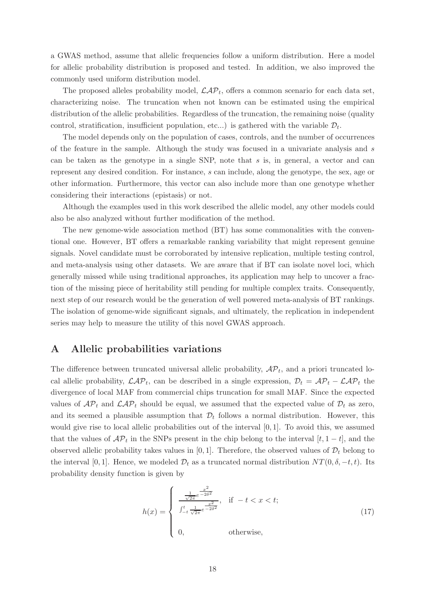a GWAS method, assume that allelic frequencies follow a uniform distribution. Here a model for allelic probability distribution is proposed and tested. In addition, we also improved the commonly used uniform distribution model.

The proposed alleles probability model,  $\mathcal{LAP}_t$ , offers a common scenario for each data set, characterizing noise. The truncation when not known can be estimated using the empirical distribution of the allelic probabilities. Regardless of the truncation, the remaining noise (quality control, stratification, insufficient population, etc...) is gathered with the variable  $\mathcal{D}_t$ .

The model depends only on the population of cases, controls, and the number of occurrences of the feature in the sample. Although the study was focused in a univariate analysis and s can be taken as the genotype in a single SNP, note that  $s$  is, in general, a vector and can represent any desired condition. For instance, s can include, along the genotype, the sex, age or other information. Furthermore, this vector can also include more than one genotype whether considering their interactions (epistasis) or not.

Although the examples used in this work described the allelic model, any other models could also be also analyzed without further modification of the method.

The new genome-wide association method (BT) has some commonalities with the conventional one. However, BT offers a remarkable ranking variability that might represent genuine signals. Novel candidate must be corroborated by intensive replication, multiple testing control, and meta-analysis using other datasets. We are aware that if BT can isolate novel loci, which generally missed while using traditional approaches, its application may help to uncover a fraction of the missing piece of heritability still pending for multiple complex traits. Consequently, next step of our research would be the generation of well powered meta-analysis of BT rankings. The isolation of genome-wide significant signals, and ultimately, the replication in independent series may help to measure the utility of this novel GWAS approach.

### <span id="page-17-0"></span>A Allelic probabilities variations

The difference between truncated universal allelic probability,  $AP_t$ , and a priori truncated local allelic probability,  $\mathcal{LAP}_t$ , can be described in a single expression,  $\mathcal{D}_t = \mathcal{AP}_t - \mathcal{LAP}_t$  the divergence of local MAF from commercial chips truncation for small MAF. Since the expected values of  $\mathcal{AP}_t$  and  $\mathcal{LAP}_t$  should be equal, we assumed that the expected value of  $\mathcal{D}_t$  as zero, and its seemed a plausible assumption that  $\mathcal{D}_t$  follows a normal distribution. However, this would give rise to local allelic probabilities out of the interval  $[0, 1]$ . To avoid this, we assumed that the values of  $\mathcal{AP}_t$  in the SNPs present in the chip belong to the interval  $[t, 1-t]$ , and the observed allelic probability takes values in [0,1]. Therefore, the observed values of  $\mathcal{D}_t$  belong to the interval [0, 1]. Hence, we modeled  $\mathcal{D}_t$  as a truncated normal distribution  $NT(0, \delta, -t, t)$ . Its probability density function is given by

$$
h(x) = \begin{cases} \frac{\frac{1}{\sqrt{2\pi}}e^{-\frac{x^2}{2\delta^2}}}{\int_{-t}^{t} \frac{1}{\sqrt{2\pi}}e^{-2\delta^2}}, & \text{if } -t < x < t; \\ 0, & \text{otherwise}, \end{cases}
$$
(17)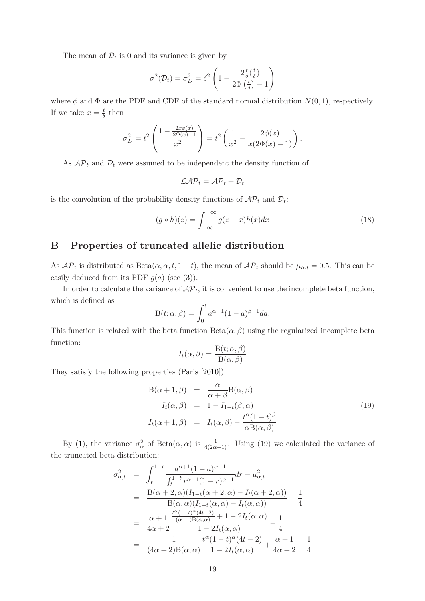The mean of  $\mathcal{D}_t$  is 0 and its variance is given by

$$
\sigma^{2}(\mathcal{D}_{t}) = \sigma_{D}^{2} = \delta^{2} \left( 1 - \frac{2 \frac{t}{\delta} \left( \frac{t}{\delta} \right)}{2 \Phi \left( \frac{t}{\delta} \right) - 1} \right)
$$

where  $\phi$  and  $\Phi$  are the PDF and CDF of the standard normal distribution  $N(0, 1)$ , respectively. If we take  $x=\frac{t}{\delta}$  $\frac{t}{\delta}$  then

$$
\sigma_D^2 = t^2 \left( \frac{1 - \frac{2x\phi(x)}{2\Phi(x) - 1}}{x^2} \right) = t^2 \left( \frac{1}{x^2} - \frac{2\phi(x)}{x(2\Phi(x) - 1)} \right).
$$

As  $\mathcal{AP}_t$  and  $\mathcal{D}_t$  were assumed to be independent the density function of

$$
\mathcal{LAP}_t = \mathcal{AP}_t + \mathcal{D}_t
$$

is the convolution of the probability density functions of  $\mathcal{AP}_t$  and  $\mathcal{D}_t$ :

$$
(g * h)(z) = \int_{-\infty}^{+\infty} g(z - x)h(x)dx
$$
\n(18)

### <span id="page-18-0"></span>B Properties of truncated allelic distribution

As  $\mathcal{AP}_t$  is distributed as  $Beta(\alpha, \alpha, t, 1-t)$ , the mean of  $\mathcal{AP}_t$  should be  $\mu_{\alpha,t} = 0.5$ . This can be easily deduced from its PDF  $g(a)$  (see [\(3\)](#page-3-0)).

In order to calculate the variance of  $\mathcal{AP}_t$ , it is convenient to use the incomplete beta function, which is defined as

$$
B(t; \alpha, \beta) = \int_0^t a^{\alpha - 1} (1 - a)^{\beta - 1} da.
$$

This function is related with the beta function  $Beta(\alpha, \beta)$  using the regularized incomplete beta function:

$$
I_t(\alpha, \beta) = \frac{\mathcal{B}(t; \alpha, \beta)}{\mathcal{B}(\alpha, \beta)}
$$

They satisfy the following properties [\(Paris](#page-23-11) [\[2010](#page-23-11)])

<span id="page-18-1"></span>
$$
B(\alpha + 1, \beta) = \frac{\alpha}{\alpha + \beta} B(\alpha, \beta)
$$
  
\n
$$
I_t(\alpha, \beta) = 1 - I_{1-t}(\beta, \alpha)
$$
  
\n
$$
I_t(\alpha + 1, \beta) = I_t(\alpha, \beta) - \frac{t^{\alpha}(1 - t)^{\beta}}{\alpha B(\alpha, \beta)}
$$
\n(19)

By [\(1\)](#page-2-0), the variance  $\sigma_{\alpha}^2$  of Beta $(\alpha, \alpha)$  is  $\frac{1}{4(2\alpha+1)}$ . Using [\(19\)](#page-18-1) we calculated the variance of the truncated beta distribution:

$$
\sigma_{\alpha,t}^{2} = \int_{t}^{1-t} \frac{a^{\alpha+1}(1-a)^{\alpha-1}}{\int_{t}^{1-t} r^{\alpha-1}(1-r)^{\alpha-1}} dr - \mu_{\alpha,t}^{2}
$$
\n
$$
= \frac{B(\alpha+2,\alpha)(I_{1-t}(\alpha+2,\alpha)-I_{t}(\alpha+2,\alpha))}{B(\alpha,\alpha)(I_{1-t}(\alpha,\alpha)-I_{t}(\alpha,\alpha))} - \frac{1}{4}
$$
\n
$$
= \frac{\alpha+1}{4\alpha+2} \frac{\frac{t^{\alpha}(1-t)^{\alpha}(4t-2)}{( \alpha+1)B(\alpha,\alpha)} + 1 - 2I_{t}(\alpha,\alpha)}{1 - 2I_{t}(\alpha,\alpha)} - \frac{1}{4}
$$
\n
$$
= \frac{1}{(4\alpha+2)B(\alpha,\alpha)} \frac{t^{\alpha}(1-t)^{\alpha}(4t-2)}{1 - 2I_{t}(\alpha,\alpha)} + \frac{\alpha+1}{4\alpha+2} - \frac{1}{4}
$$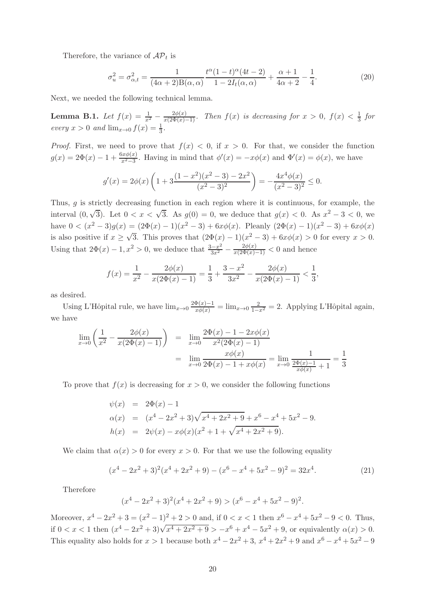Therefore, the variance of  $\mathcal{AP}_t$  is

$$
\sigma_u^2 = \sigma_{\alpha,t}^2 = \frac{1}{(4\alpha+2)B(\alpha,\alpha)} \frac{t^{\alpha}(1-t)^{\alpha}(4t-2)}{1-2I_t(\alpha,\alpha)} + \frac{\alpha+1}{4\alpha+2} - \frac{1}{4}.
$$
 (20)

Next, we needed the following technical lemma.

<span id="page-19-0"></span>**Lemma B.1.** Let  $f(x) = \frac{1}{x^2} - \frac{2\phi(x)}{x(2\Phi(x)-1)}$ . Then  $f(x)$  is decreasing for  $x > 0$ ,  $f(x) < \frac{1}{3}$  $rac{1}{3}$  for every  $x > 0$  and  $\lim_{x \to 0} f(x) = \frac{1}{3}$ .

*Proof.* First, we need to prove that  $f(x) < 0$ , if  $x > 0$ . For that, we consider the function  $g(x) = 2\Phi(x) - 1 + \frac{6x\phi(x)}{x^2 - 3}$ . Having in mind that  $\phi'(x) = -x\phi(x)$  and  $\Phi'(x) = \phi(x)$ , we have

$$
g'(x) = 2\phi(x)\left(1 + 3\frac{(1-x^2)(x^2-3) - 2x^2}{(x^2-3)^2}\right) = -\frac{4x^4\phi(x)}{(x^2-3)^2} \le 0.
$$

Thus, g is strictly decreasing function in each region where it is continuous, for example, the interval  $(0, \sqrt{3})$ . Let  $0 < x < \sqrt{3}$ . As  $g(0) = 0$ , we deduce that  $g(x) < 0$ . As  $x^2 - 3 < 0$ , we have  $0 < (x^2 - 3)g(x) = (2\Phi(x) - 1)(x^2 - 3) + 6x\phi(x)$ . Pleanly  $(2\Phi(x) - 1)(x^2 - 3) + 6x\phi(x)$ is also positive if  $x \geq \sqrt{3}$ . This proves that  $(2\Phi(x) - 1)(x^2 - 3) + 6x\phi(x) > 0$  for every  $x > 0$ . Using that  $2\Phi(x) - 1, x^2 > 0$ , we deduce that  $\frac{3-x^2}{3x^2}$  $\frac{3x^2}{3x^2} - \frac{2\phi(x)}{x(2\Phi(x)-1)} < 0$  and hence

$$
f(x) = \frac{1}{x^2} - \frac{2\phi(x)}{x(2\Phi(x) - 1)} = \frac{1}{3} + \frac{3 - x^2}{3x^2} - \frac{2\phi(x)}{x(2\Phi(x) - 1)} < \frac{1}{3},
$$

as desired.

Using L'Hôpital rule, we have  $\lim_{x\to 0} \frac{2\Phi(x)-1}{x\phi(x)} = \lim_{x\to 0} \frac{2}{1-x^2} = 2$ . Applying L'Hôpital again, we have

$$
\lim_{x \to 0} \left( \frac{1}{x^2} - \frac{2\phi(x)}{x(2\Phi(x) - 1)} \right) = \lim_{x \to 0} \frac{2\Phi(x) - 1 - 2x\phi(x)}{x^2(2\Phi(x) - 1)}
$$
\n
$$
= \lim_{x \to 0} \frac{x\phi(x)}{2\Phi(x) - 1 + x\phi(x)} = \lim_{x \to 0} \frac{1}{\frac{2\Phi(x) - 1}{x\phi(x)} + 1} = \frac{1}{3}
$$

To prove that  $f(x)$  is decreasing for  $x > 0$ , we consider the following functions

$$
\psi(x) = 2\Phi(x) - 1
$$
  
\n
$$
\alpha(x) = (x^4 - 2x^2 + 3)\sqrt{x^4 + 2x^2 + 9} + x^6 - x^4 + 5x^2 - 9.
$$
  
\n
$$
h(x) = 2\psi(x) - x\phi(x)(x^2 + 1 + \sqrt{x^4 + 2x^2 + 9}).
$$

We claim that  $\alpha(x) > 0$  for every  $x > 0$ . For that we use the following equality

$$
(x4 - 2x2 + 3)2(x4 + 2x2 + 9) - (x6 - x4 + 5x2 - 9)2 = 32x4.
$$
 (21)

Therefore

$$
(x4 - 2x2 + 3)2(x4 + 2x2 + 9) > (x6 - x4 + 5x2 - 9)2.
$$

Moreover,  $x^4 - 2x^2 + 3 = (x^2 - 1)^2 + 2 > 0$  and, if  $0 < x < 1$  then  $x^6 - x^4 + 5x^2 - 9 < 0$ . Thus, if  $0 < x < 1$  then  $(x^4 - 2x^2 + 3)\sqrt{x^4 + 2x^2 + 9} > -x^6 + x^4 - 5x^2 + 9$ , or equivalently  $\alpha(x) > 0$ . This equality also holds for  $x > 1$  because both  $x^4 - 2x^2 + 3$ ,  $x^4 + 2x^2 + 9$  and  $x^6 - x^4 + 5x^2 - 9$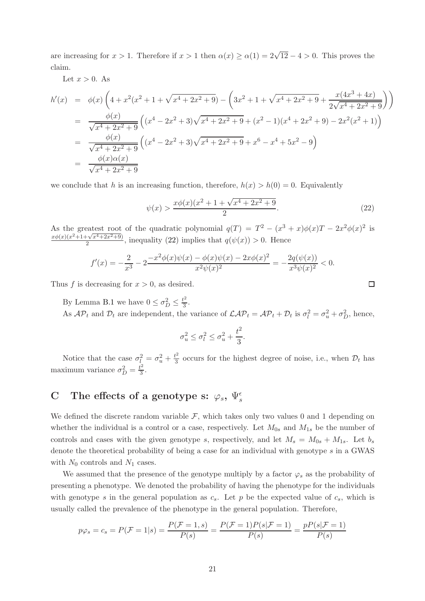are increasing for  $x > 1$ . Therefore if  $x > 1$  then  $\alpha(x) \ge \alpha(1) = 2\sqrt{12} - 4 > 0$ . This proves the claim.

Let  $x > 0$ . As

$$
h'(x) = \phi(x) \left( 4 + x^2(x^2 + 1 + \sqrt{x^4 + 2x^2 + 9}) - \left( 3x^2 + 1 + \sqrt{x^4 + 2x^2 + 9} + \frac{x(4x^3 + 4x)}{2\sqrt{x^4 + 2x^2 + 9}} \right) \right)
$$
  
\n
$$
= \frac{\phi(x)}{\sqrt{x^4 + 2x^2 + 9}} \left( (x^4 - 2x^2 + 3)\sqrt{x^4 + 2x^2 + 9} + (x^2 - 1)(x^4 + 2x^2 + 9) - 2x^2(x^2 + 1) \right)
$$
  
\n
$$
= \frac{\phi(x)}{\sqrt{x^4 + 2x^2 + 9}} \left( (x^4 - 2x^2 + 3)\sqrt{x^4 + 2x^2 + 9} + x^6 - x^4 + 5x^2 - 9 \right)
$$
  
\n
$$
= \frac{\phi(x)\alpha(x)}{\sqrt{x^4 + 2x^2 + 9}}
$$

we conclude that h is an increasing function, therefore,  $h(x) > h(0) = 0$ . Equivalently

<span id="page-20-1"></span>
$$
\psi(x) > \frac{x\phi(x)(x^2 + 1 + \sqrt{x^4 + 2x^2 + 9}}{2}.\tag{22}
$$

As the greatest root of the quadratic polynomial  $q(T) = T^2 - (x^3 + x)\phi(x)T - 2x^2\phi(x)^2$  is  $x\phi(x)(x^2+1+\sqrt{x^4+2x^2+9})$  $\frac{2}{2} \frac{2}{\sqrt{2}}$ , inequality [\(22\)](#page-20-1) implies that  $q(\psi(x)) > 0$ . Hence

$$
f'(x) = -\frac{2}{x^3} - 2\frac{-x^2\phi(x)\psi(x) - \phi(x)\psi(x) - 2x\phi(x)^2}{x^2\psi(x)^2} = -\frac{2q(\psi(x))}{x^3\psi(x)^2} < 0.
$$

Thus f is decreasing for  $x > 0$ , as desired.

By Lemma [B.1](#page-19-0) we have  $0 \leq \sigma_D^2 \leq \frac{t^2}{3}$  $\frac{1}{3}$ . As  $\mathcal{AP}_t$  and  $\mathcal{D}_t$  are independent, the variance of  $\mathcal{LAP}_t = \mathcal{AP}_t + \mathcal{D}_t$  is  $\sigma_l^2 = \sigma_u^2 + \sigma_D^2$ , hence,

$$
\sigma^2_u \leq \sigma^2_l \leq \sigma^2_u + \frac{t^2}{3}.
$$

Notice that the case  $\sigma_l^2 = \sigma_u^2 + \frac{t^2}{3}$  $\frac{t^2}{3}$  occurs for the highest degree of noise, i.e., when  $\mathcal{D}_t$  has maximum variance  $\sigma_D^2 = \frac{t^2}{3}$  $\frac{12}{3}$ .

## <span id="page-20-0"></span>C The effects of a genotype s:  $\varphi_s$ ,  $\Psi_s^\epsilon$

We defined the discrete random variable  $\mathcal{F}$ , which takes only two values 0 and 1 depending on whether the individual is a control or a case, respectively. Let  $M_{0s}$  and  $M_{1s}$  be the number of controls and cases with the given genotype s, respectively, and let  $M_s = M_{0s} + M_{1s}$ . Let  $b_s$ denote the theoretical probability of being a case for an individual with genotype s in a GWAS with  $N_0$  controls and  $N_1$  cases.

We assumed that the presence of the genotype multiply by a factor  $\varphi_s$  as the probability of presenting a phenotype. We denoted the probability of having the phenotype for the individuals with genotype s in the general population as  $c_s$ . Let p be the expected value of  $c_s$ , which is usually called the prevalence of the phenotype in the general population. Therefore,

$$
p\varphi_s = c_s = P(\mathcal{F} = 1|s) = \frac{P(\mathcal{F} = 1, s)}{P(s)} = \frac{P(\mathcal{F} = 1)P(s|\mathcal{F} = 1)}{P(s)} = \frac{pP(s|\mathcal{F} = 1)}{P(s)}
$$

 $\Box$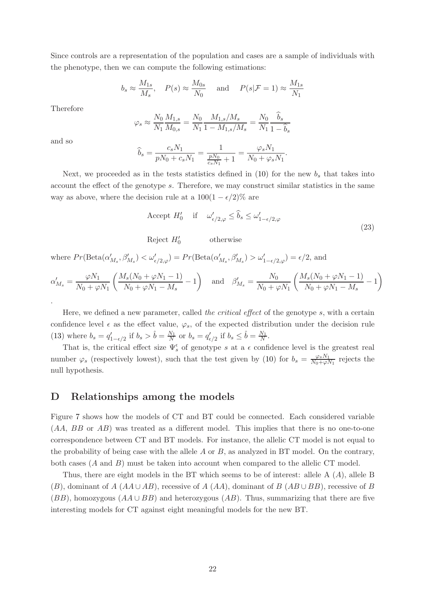Since controls are a representation of the population and cases are a sample of individuals with the phenotype, then we can compute the following estimations:

$$
b_s \approx \frac{M_{1s}}{M_s}
$$
,  $P(s) \approx \frac{M_{0s}}{N_0}$  and  $P(s|\mathcal{F}=1) \approx \frac{M_{1s}}{N_1}$ 

Therefore

$$
\varphi_s \approx \frac{N_0}{N_1} \frac{M_{1,s}}{M_{0,s}} = \frac{N_0}{N_1} \frac{M_{1,s}/M_s}{1 - M_{1,s}/M_s} = \frac{N_0}{N_1} \frac{\hat{b}_s}{1 - \hat{b}_s}
$$

and so

$$
\widehat{b}_s = \frac{c_s N_1}{pN_0 + c_s N_1} = \frac{1}{\frac{pN_0}{c_s N_1} + 1} = \frac{\varphi_s N_1}{N_0 + \varphi_s N_1}.
$$

Next, we proceeded as in the tests statistics defined in  $(10)$  for the new  $b_s$  that takes into account the effect of the genotype s. Therefore, we may construct similar statistics in the same way as above, where the decision rule at a  $100(1 - \epsilon/2)\%$  are

Accept 
$$
H'_0
$$
 if  $\omega'_{\epsilon/2,\varphi} \le \widehat{b}_s \le \omega'_{1-\epsilon/2,\varphi}$  (23)

Reject  $H'_0$ otherwise

where  $Pr(\text{Beta}(\alpha'_{M_s}, \beta'_{M_s}) < \omega'_{\epsilon/2,\varphi}) = Pr(\text{Beta}(\alpha'_{M_s}, \beta'_{M_s}) > \omega'_{1-\epsilon/2,\varphi}) = \epsilon/2$ , and

$$
\alpha'_{M_s} = \frac{\varphi N_1}{N_0 + \varphi N_1} \left( \frac{M_s (N_0 + \varphi N_1 - 1)}{N_0 + \varphi N_1 - M_s} - 1 \right) \quad \text{and} \quad \beta'_{M_s} = \frac{N_0}{N_0 + \varphi N_1} \left( \frac{M_s (N_0 + \varphi N_1 - 1)}{N_0 + \varphi N_1 - M_s} - 1 \right)
$$

Here, we defined a new parameter, called the critical effect of the genotype s, with a certain confidence level  $\epsilon$  as the effect value,  $\varphi_s$ , of the expected distribution under the decision rule [\(13\)](#page-8-0) where  $b_s = q'_{1-\epsilon/2}$  if  $b_s > \hat{b} = \frac{N_1}{N}$  $\frac{N_1}{N}$  or  $b_s = q'_{\epsilon/2}$  if  $b_s \leq \hat{b} = \frac{N_1}{N}$  $\frac{N_1}{N}$ .

That is, the critical effect size  $\Psi_s^{\epsilon}$  of genotype s at a  $\epsilon$  confidence level is the greatest real number  $\varphi_s$  (respectively lowest), such that the test given by [\(10\)](#page-7-1) for  $b_s = \frac{\varphi_s N_1}{N_0 + \varphi}$  $\frac{\varphi_s N_1}{N_0 + \varphi N_1}$  rejects the null hypothesis.

### <span id="page-21-0"></span>D Relationships among the models

Figure [7](#page-22-7) shows how the models of CT and BT could be connected. Each considered variable (AA, BB or AB) was treated as a different model. This implies that there is no one-to-one correspondence between CT and BT models. For instance, the allelic CT model is not equal to the probability of being case with the allele  $A$  or  $B$ , as analyzed in BT model. On the contrary, both cases  $(A \text{ and } B)$  must be taken into account when compared to the allelic CT model.

Thus, there are eight models in the BT which seems to be of interest: allele A  $(A)$ , allele B  $(B)$ , dominant of A (AA∪AB), recessive of A (AA), dominant of B (AB∪BB), recessive of B  $(BB)$ , homozygous  $(AA \cup BB)$  and heterozygous  $(AB)$ . Thus, summarizing that there are five interesting models for CT against eight meaningful models for the new BT.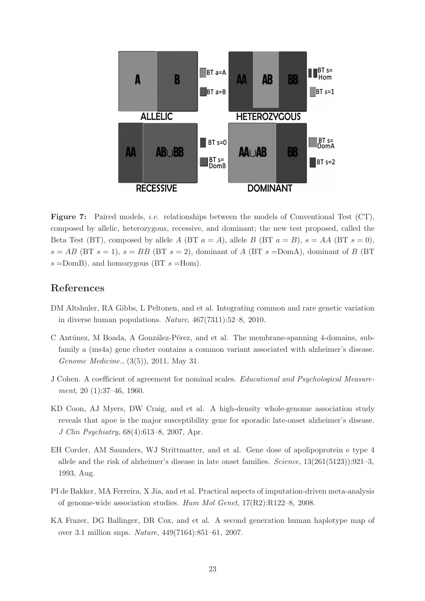<span id="page-22-7"></span>

Figure 7: Paired models, *i.e.* relationships between the models of Conventional Test (CT), composed by allelic, heterozygous, recessive, and dominant; the new test proposed, called the Beta Test (BT), composed by allele A (BT  $a = A$ ), allele B (BT  $a = B$ ),  $s = AA$  (BT  $s = 0$ ),  $s = AB$  (BT  $s = 1$ ),  $s = BB$  (BT  $s = 2$ ), dominant of A (BT  $s =$ DomA), dominant of B (BT  $s =$ DomB), and homozygous (BT  $s =$ Hom).

### References

- <span id="page-22-0"></span>DM Altshuler, RA Gibbs, L Peltonen, and et al. Integrating common and rare genetic variation in diverse human populations. Nature, 467(7311):52–8, 2010.
- <span id="page-22-3"></span>C Antúnez, M Boada, A González-Pérez, and et al. The membrane-spanning 4-domains, subfamily a (ms4a) gene cluster contains a common variant associated with alzheimer's disease. Genome Medicine., (3(5)), 2011, May 31.
- <span id="page-22-4"></span>J Cohen. A coefficient of agreement for nominal scales. Educational and Psychological Measurement, 20 (1):37-46, 1960.
- <span id="page-22-5"></span>KD Coon, AJ Myers, DW Craig, and et al. A high-density whole-genome association study reveals that apoe is the major susceptibility gene for sporadic late-onset alzheimer's disease. J Clin Psychiatry, 68(4):613–8, 2007, Apr.
- <span id="page-22-6"></span>EH Corder, AM Saunders, WJ Strittmatter, and et al. Gene dose of apolipoprotein e type 4 allele and the risk of alzheimer's disease in late onset families. Science, 13(261(5123)):921–3, 1993, Aug.
- <span id="page-22-2"></span>PI de Bakker, MA Ferreira, X Jia, and et al. Practical aspects of imputation-driven meta-analysis of genome-wide association studies. Hum Mol Genet, 17(R2):R122–8, 2008.
- <span id="page-22-1"></span>KA Frazer, DG Ballinger, DR Cox, and et al. A second generation human haplotype map of over 3.1 million snps. Nature, 449(7164):851–61, 2007.